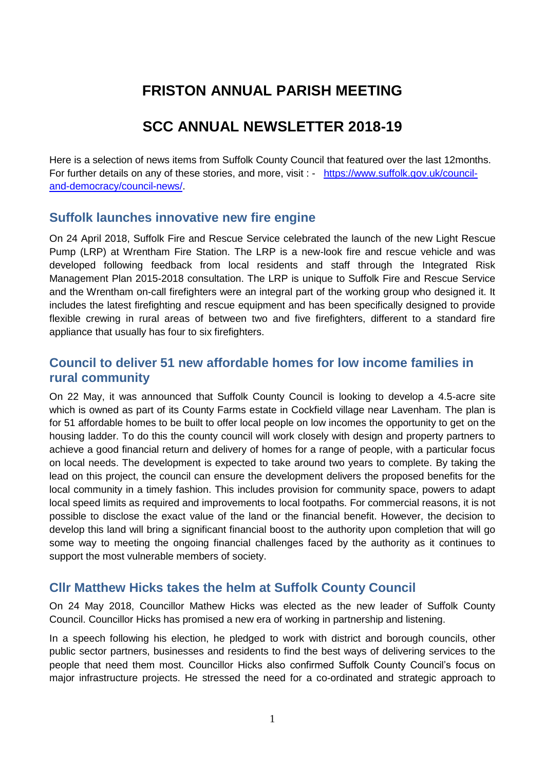# **FRISTON ANNUAL PARISH MEETING**

# **SCC ANNUAL NEWSLETTER 2018-19**

Here is a selection of news items from Suffolk County Council that featured over the last 12months. For further details on any of these stories, and more, visit : - [https://www.suffolk.gov.uk/council](https://www.suffolk.gov.uk/council-and-democracy/council-news/)[and-democracy/council-news/.](https://www.suffolk.gov.uk/council-and-democracy/council-news/)

### **Suffolk launches innovative new fire engine**

On 24 April 2018, Suffolk Fire and Rescue Service celebrated the launch of the new Light Rescue Pump (LRP) at Wrentham Fire Station. The LRP is a new-look fire and rescue vehicle and was developed following feedback from local residents and staff through the Integrated Risk Management Plan 2015-2018 consultation. The LRP is unique to Suffolk Fire and Rescue Service and the Wrentham on-call firefighters were an integral part of the working group who designed it. It includes the latest firefighting and rescue equipment and has been specifically designed to provide flexible crewing in rural areas of between two and five firefighters, different to a standard fire appliance that usually has four to six firefighters.

# **Council to deliver 51 new affordable homes for low income families in rural community**

On 22 May, it was announced that Suffolk County Council is looking to develop a 4.5-acre site which is owned as part of its County Farms estate in Cockfield village near Lavenham. The plan is for 51 affordable homes to be built to offer local people on low incomes the opportunity to get on the housing ladder. To do this the county council will work closely with design and property partners to achieve a good financial return and delivery of homes for a range of people, with a particular focus on local needs. The development is expected to take around two years to complete. By taking the lead on this project, the council can ensure the development delivers the proposed benefits for the local community in a timely fashion. This includes provision for community space, powers to adapt local speed limits as required and improvements to local footpaths. For commercial reasons, it is not possible to disclose the exact value of the land or the financial benefit. However, the decision to develop this land will bring a significant financial boost to the authority upon completion that will go some way to meeting the ongoing financial challenges faced by the authority as it continues to support the most vulnerable members of society.

# **Cllr Matthew Hicks takes the helm at Suffolk County Council**

On 24 May 2018, Councillor Mathew Hicks was elected as the new leader of Suffolk County Council. Councillor Hicks has promised a new era of working in partnership and listening.

In a speech following his election, he pledged to work with district and borough councils, other public sector partners, businesses and residents to find the best ways of delivering services to the people that need them most. Councillor Hicks also confirmed Suffolk County Council's focus on major infrastructure projects. He stressed the need for a co-ordinated and strategic approach to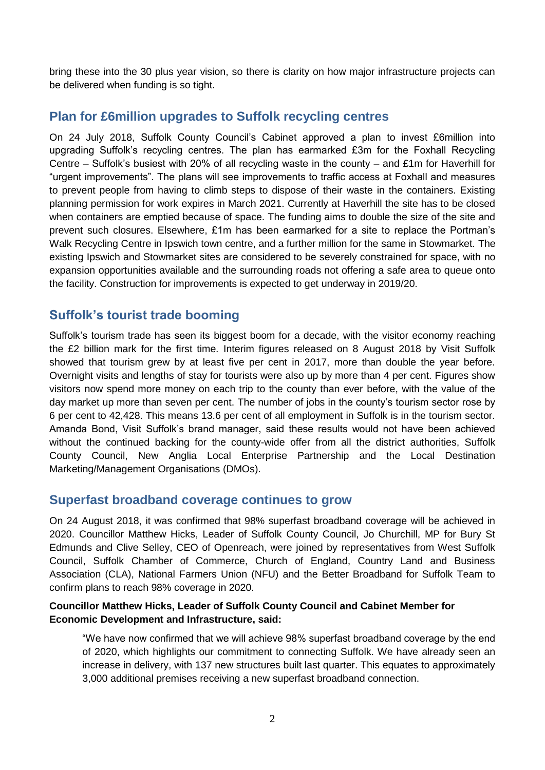bring these into the 30 plus year vision, so there is clarity on how major infrastructure projects can be delivered when funding is so tight.

# **Plan for £6million upgrades to Suffolk recycling centres**

On 24 July 2018, Suffolk County Council's Cabinet approved a plan to invest £6million into upgrading Suffolk's recycling centres. The plan has earmarked £3m for the Foxhall Recycling Centre – Suffolk's busiest with 20% of all recycling waste in the county – and £1m for Haverhill for "urgent improvements". The plans will see improvements to traffic access at Foxhall and measures to prevent people from having to climb steps to dispose of their waste in the containers. Existing planning permission for work expires in March 2021. Currently at Haverhill the site has to be closed when containers are emptied because of space. The funding aims to double the size of the site and prevent such closures. Elsewhere, £1m has been earmarked for a site to replace the Portman's Walk Recycling Centre in Ipswich town centre, and a further million for the same in Stowmarket. The existing Ipswich and Stowmarket sites are considered to be severely constrained for space, with no expansion opportunities available and the surrounding roads not offering a safe area to queue onto the facility. Construction for improvements is expected to get underway in 2019/20.

# **Suffolk's tourist trade booming**

Suffolk's tourism trade has seen its biggest boom for a decade, with the visitor economy reaching the £2 billion mark for the first time. Interim figures released on 8 August 2018 by Visit Suffolk showed that tourism grew by at least five per cent in 2017, more than double the year before. Overnight visits and lengths of stay for tourists were also up by more than 4 per cent. Figures show visitors now spend more money on each trip to the county than ever before, with the value of the day market up more than seven per cent. The number of jobs in the county's tourism sector rose by 6 per cent to 42,428. This means 13.6 per cent of all employment in Suffolk is in the tourism sector. Amanda Bond, Visit Suffolk's brand manager, said these results would not have been achieved without the continued backing for the county-wide offer from all the district authorities, Suffolk County Council, New Anglia Local Enterprise Partnership and the Local Destination Marketing/Management Organisations (DMOs).

# **Superfast broadband coverage continues to grow**

On 24 August 2018, it was confirmed that 98% superfast broadband coverage will be achieved in 2020. Councillor Matthew Hicks, Leader of Suffolk County Council, Jo Churchill, MP for Bury St Edmunds and Clive Selley, CEO of Openreach, were joined by representatives from West Suffolk Council, Suffolk Chamber of Commerce, Church of England, Country Land and Business Association (CLA), National Farmers Union (NFU) and the Better Broadband for Suffolk Team to confirm plans to reach 98% coverage in 2020.

#### **Councillor Matthew Hicks, Leader of Suffolk County Council and Cabinet Member for Economic Development and Infrastructure, said:**

"We have now confirmed that we will achieve 98% superfast broadband coverage by the end of 2020, which highlights our commitment to connecting Suffolk. We have already seen an increase in delivery, with 137 new structures built last quarter. This equates to approximately 3,000 additional premises receiving a new superfast broadband connection.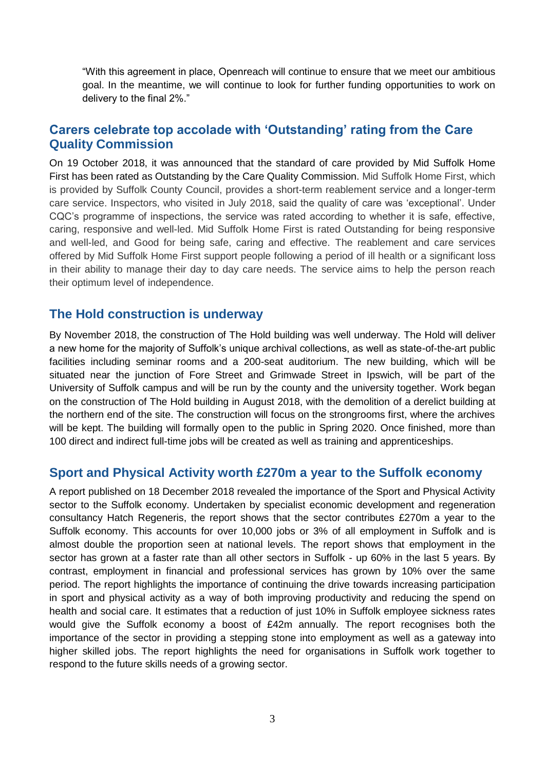"With this agreement in place, Openreach will continue to ensure that we meet our ambitious goal. In the meantime, we will continue to look for further funding opportunities to work on delivery to the final 2%."

# **Carers celebrate top accolade with 'Outstanding' rating from the Care Quality Commission**

On 19 October 2018, it was announced that the standard of care provided by Mid Suffolk Home First has been rated as Outstanding by the Care Quality Commission. Mid Suffolk Home First, which is provided by Suffolk County Council, provides a short-term reablement service and a longer-term care service. Inspectors, who visited in July 2018, said the quality of care was 'exceptional'. Under CQC's programme of inspections, the service was rated according to whether it is safe, effective, caring, responsive and well-led. Mid Suffolk Home First is rated Outstanding for being responsive and well-led, and Good for being safe, caring and effective. The reablement and care services offered by Mid Suffolk Home First support people following a period of ill health or a significant loss in their ability to manage their day to day care needs. The service aims to help the person reach their optimum level of independence.

### **The Hold construction is underway**

By November 2018, the construction of The Hold building was well underway. The Hold will deliver a new home for the majority of Suffolk's unique archival collections, as well as state-of-the-art public facilities including seminar rooms and a 200-seat auditorium. The new building, which will be situated near the junction of Fore Street and Grimwade Street in Ipswich, will be part of the University of Suffolk campus and will be run by the county and the university together. Work began on the construction of The Hold building in August 2018, with the demolition of a derelict building at the northern end of the site. The construction will focus on the strongrooms first, where the archives will be kept. The building will formally open to the public in Spring 2020. Once finished, more than 100 direct and indirect full-time jobs will be created as well as training and apprenticeships.

#### **Sport and Physical Activity worth £270m a year to the Suffolk economy**

A report published on 18 December 2018 revealed the importance of the Sport and Physical Activity sector to the Suffolk economy. Undertaken by specialist economic development and regeneration consultancy Hatch Regeneris, the report shows that the sector contributes £270m a year to the Suffolk economy. This accounts for over 10,000 jobs or 3% of all employment in Suffolk and is almost double the proportion seen at national levels. The report shows that employment in the sector has grown at a faster rate than all other sectors in Suffolk - up 60% in the last 5 years. By contrast, employment in financial and professional services has grown by 10% over the same period. The report highlights the importance of continuing the drive towards increasing participation in sport and physical activity as a way of both improving productivity and reducing the spend on health and social care. It estimates that a reduction of just 10% in Suffolk employee sickness rates would give the Suffolk economy a boost of £42m annually. The report recognises both the importance of the sector in providing a stepping stone into employment as well as a gateway into higher skilled jobs. The report highlights the need for organisations in Suffolk work together to respond to the future skills needs of a growing sector.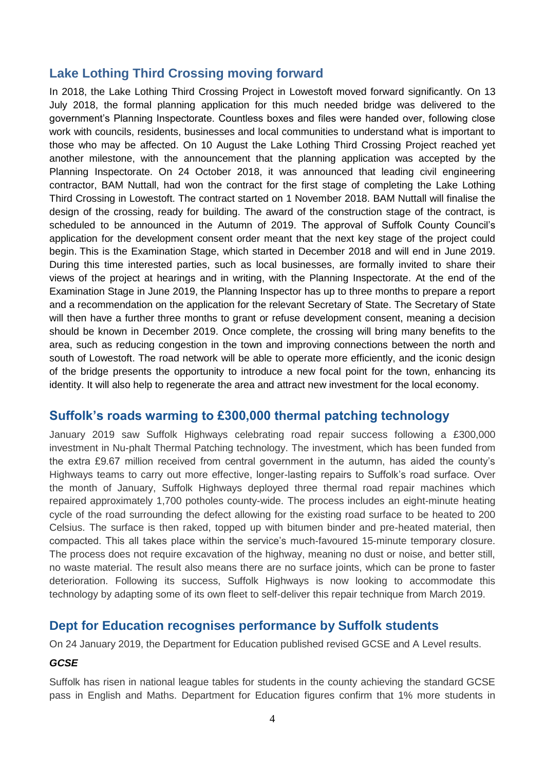# **Lake Lothing Third Crossing moving forward**

In 2018, the Lake Lothing Third Crossing Project in Lowestoft moved forward significantly. On 13 July 2018, the formal planning application for this much needed bridge was delivered to the government's Planning Inspectorate. Countless boxes and files were handed over, following close work with councils, residents, businesses and local communities to understand what is important to those who may be affected. On 10 August the Lake Lothing Third Crossing Project reached yet another milestone, with the announcement that the planning application was accepted by the Planning Inspectorate. On 24 October 2018, it was announced that leading civil engineering contractor, BAM Nuttall, had won the contract for the first stage of completing the Lake Lothing Third Crossing in Lowestoft. The contract started on 1 November 2018. BAM Nuttall will finalise the design of the crossing, ready for building. The award of the construction stage of the contract, is scheduled to be announced in the Autumn of 2019. The approval of Suffolk County Council's application for the development consent order meant that the next key stage of the project could begin. This is the Examination Stage, which started in December 2018 and will end in June 2019. During this time interested parties, such as local businesses, are formally invited to share their views of the project at hearings and in writing, with the Planning Inspectorate. At the end of the Examination Stage in June 2019, the Planning Inspector has up to three months to prepare a report and a recommendation on the application for the relevant Secretary of State. The Secretary of State will then have a further three months to grant or refuse development consent, meaning a decision should be known in December 2019. Once complete, the crossing will bring many benefits to the area, such as reducing congestion in the town and improving connections between the north and south of Lowestoft. The road network will be able to operate more efficiently, and the iconic design of the bridge presents the opportunity to introduce a new focal point for the town, enhancing its identity. It will also help to regenerate the area and attract new investment for the local economy.

# **Suffolk's roads warming to £300,000 thermal patching technology**

January 2019 saw Suffolk Highways celebrating road repair success following a £300,000 investment in Nu-phalt Thermal Patching technology. The investment, which has been funded from the extra £9.67 million received from central government in the autumn, has aided the county's Highways teams to carry out more effective, longer-lasting repairs to Suffolk's road surface. Over the month of January, Suffolk Highways deployed three thermal road repair machines which repaired approximately 1,700 potholes county-wide. The process includes an eight-minute heating cycle of the road surrounding the defect allowing for the existing road surface to be heated to 200 Celsius. The surface is then raked, topped up with bitumen binder and pre-heated material, then compacted. This all takes place within the service's much-favoured 15-minute temporary closure. The process does not require excavation of the highway, meaning no dust or noise, and better still, no waste material. The result also means there are no surface joints, which can be prone to faster deterioration. Following its success, Suffolk Highways is now looking to accommodate this technology by adapting some of its own fleet to self-deliver this repair technique from March 2019.

# **Dept for Education recognises performance by Suffolk students**

On 24 January 2019, the Department for Education published revised GCSE and A Level results.

### *GCSE*

Suffolk has risen in national league tables for students in the county achieving the standard GCSE pass in English and Maths. Department for Education figures confirm that 1% more students in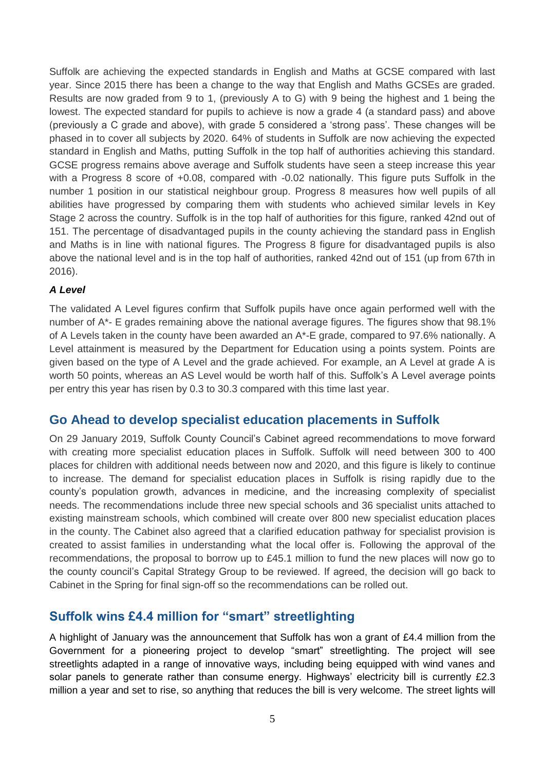Suffolk are achieving the expected standards in English and Maths at GCSE compared with last year. Since 2015 there has been a change to the way that English and Maths GCSEs are graded. Results are now graded from 9 to 1, (previously A to G) with 9 being the highest and 1 being the lowest. The expected standard for pupils to achieve is now a grade 4 (a standard pass) and above (previously a C grade and above), with grade 5 considered a 'strong pass'. These changes will be phased in to cover all subjects by 2020. 64% of students in Suffolk are now achieving the expected standard in English and Maths, putting Suffolk in the top half of authorities achieving this standard. GCSE progress remains above average and Suffolk students have seen a steep increase this year with a Progress 8 score of +0.08, compared with -0.02 nationally. This figure puts Suffolk in the number 1 position in our statistical neighbour group. Progress 8 measures how well pupils of all abilities have progressed by comparing them with students who achieved similar levels in Key Stage 2 across the country. Suffolk is in the top half of authorities for this figure, ranked 42nd out of 151. The percentage of disadvantaged pupils in the county achieving the standard pass in English and Maths is in line with national figures. The Progress 8 figure for disadvantaged pupils is also above the national level and is in the top half of authorities, ranked 42nd out of 151 (up from 67th in 2016).

#### *A Level*

The validated A Level figures confirm that Suffolk pupils have once again performed well with the number of A\*- E grades remaining above the national average figures. The figures show that 98.1% of A Levels taken in the county have been awarded an A\*-E grade, compared to 97.6% nationally. A Level attainment is measured by the Department for Education using a points system. Points are given based on the type of A Level and the grade achieved. For example, an A Level at grade A is worth 50 points, whereas an AS Level would be worth half of this. Suffolk's A Level average points per entry this year has risen by 0.3 to 30.3 compared with this time last year.

### **Go Ahead to develop specialist education placements in Suffolk**

On 29 January 2019, Suffolk County Council's Cabinet agreed recommendations to move forward with creating more specialist education places in Suffolk. Suffolk will need between 300 to 400 places for children with additional needs between now and 2020, and this figure is likely to continue to increase. The demand for specialist education places in Suffolk is rising rapidly due to the county's population growth, advances in medicine, and the increasing complexity of specialist needs. The recommendations include three new special schools and 36 specialist units attached to existing mainstream schools, which combined will create over 800 new specialist education places in the county. The Cabinet also agreed that a clarified education pathway for specialist provision is created to assist families in understanding what the local offer is. Following the approval of the recommendations, the proposal to borrow up to £45.1 million to fund the new places will now go to the county council's Capital Strategy Group to be reviewed. If agreed, the decision will go back to Cabinet in the Spring for final sign-off so the recommendations can be rolled out.

# **Suffolk wins £4.4 million for "smart" streetlighting**

A highlight of January was the announcement that Suffolk has won a grant of £4.4 million from the Government for a pioneering project to develop "smart" streetlighting. The project will see streetlights adapted in a range of innovative ways, including being equipped with wind vanes and solar panels to generate rather than consume energy. Highways' electricity bill is currently £2.3 million a year and set to rise, so anything that reduces the bill is very welcome. The street lights will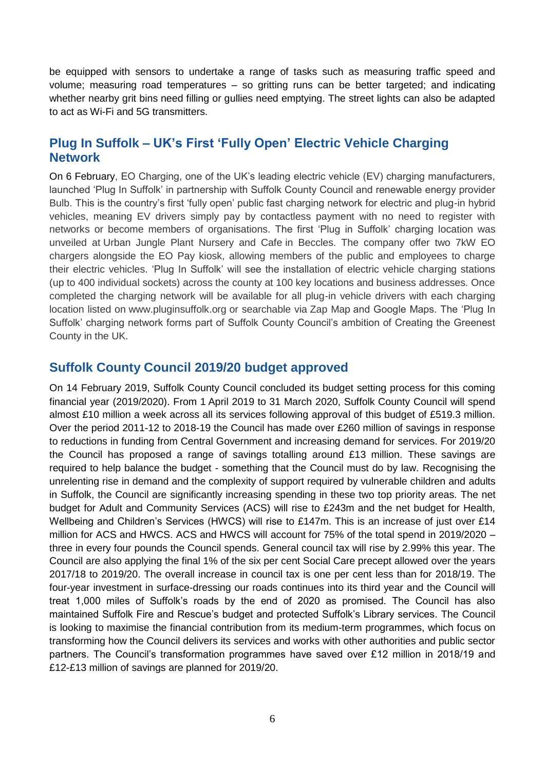be equipped with sensors to undertake a range of tasks such as measuring traffic speed and volume; measuring road temperatures – so gritting runs can be better targeted; and indicating whether nearby grit bins need filling or gullies need emptying. The street lights can also be adapted to act as Wi-Fi and 5G transmitters.

# **Plug In Suffolk – UK's First 'Fully Open' Electric Vehicle Charging Network**

On 6 February, EO Charging, one of the UK's leading electric vehicle (EV) charging manufacturers, launched 'Plug In Suffolk' in partnership with Suffolk County Council and renewable energy provider Bulb. This is the country's first 'fully open' public fast charging network for electric and plug-in hybrid vehicles, meaning EV drivers simply pay by contactless payment with no need to register with networks or become members of organisations. The first 'Plug in Suffolk' charging location was unveiled at Urban Jungle Plant Nursery and Cafe in Beccles. The company offer two 7kW EO chargers alongside the EO Pay kiosk, allowing members of the public and employees to charge their electric vehicles. 'Plug In Suffolk' will see the installation of electric vehicle charging stations (up to 400 individual sockets) across the county at 100 key locations and business addresses. Once completed the charging network will be available for all plug-in vehicle drivers with each charging location listed on www.pluginsuffolk.org or searchable via Zap Map and Google Maps. The 'Plug In Suffolk' charging network forms part of Suffolk County Council's ambition of Creating the Greenest County in the UK.

# **Suffolk County Council 2019/20 budget approved**

On 14 February 2019, Suffolk County Council concluded its budget setting process for this coming financial year (2019/2020). From 1 April 2019 to 31 March 2020, Suffolk County Council will spend almost £10 million a week across all its services following approval of this budget of £519.3 million. Over the period 2011-12 to 2018-19 the Council has made over £260 million of savings in response to reductions in funding from Central Government and increasing demand for services. For 2019/20 the Council has proposed a range of savings totalling around £13 million. These savings are required to help balance the budget - something that the Council must do by law. Recognising the unrelenting rise in demand and the complexity of support required by vulnerable children and adults in Suffolk, the Council are significantly increasing spending in these two top priority areas. The net budget for Adult and Community Services (ACS) will rise to £243m and the net budget for Health, Wellbeing and Children's Services (HWCS) will rise to £147m. This is an increase of just over £14 million for ACS and HWCS. ACS and HWCS will account for 75% of the total spend in 2019/2020 – three in every four pounds the Council spends. General council tax will rise by 2.99% this year. The Council are also applying the final 1% of the six per cent Social Care precept allowed over the years 2017/18 to 2019/20. The overall increase in council tax is one per cent less than for 2018/19. The four-year investment in surface-dressing our roads continues into its third year and the Council will treat 1,000 miles of Suffolk's roads by the end of 2020 as promised. The Council has also maintained Suffolk Fire and Rescue's budget and protected Suffolk's Library services. The Council is looking to maximise the financial contribution from its medium-term programmes, which focus on transforming how the Council delivers its services and works with other authorities and public sector partners. The Council's transformation programmes have saved over £12 million in 2018/19 and £12-£13 million of savings are planned for 2019/20.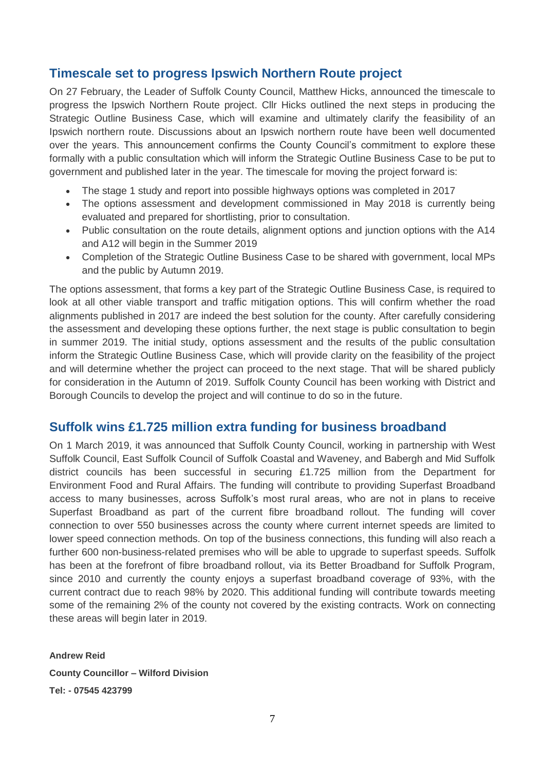# **Timescale set to progress Ipswich Northern Route project**

On 27 February, the Leader of Suffolk County Council, Matthew Hicks, announced the timescale to progress the Ipswich Northern Route project. Cllr Hicks outlined the next steps in producing the Strategic Outline Business Case, which will examine and ultimately clarify the feasibility of an Ipswich northern route. Discussions about an Ipswich northern route have been well documented over the years. This announcement confirms the County Council's commitment to explore these formally with a public consultation which will inform the Strategic Outline Business Case to be put to government and published later in the year. The timescale for moving the project forward is:

- The stage 1 study and report into possible highways options was completed in 2017
- The options assessment and development commissioned in May 2018 is currently being evaluated and prepared for shortlisting, prior to consultation.
- Public consultation on the route details, alignment options and junction options with the A14 and A12 will begin in the Summer 2019
- Completion of the Strategic Outline Business Case to be shared with government, local MPs and the public by Autumn 2019.

The options assessment, that forms a key part of the Strategic Outline Business Case, is required to look at all other viable transport and traffic mitigation options. This will confirm whether the road alignments published in 2017 are indeed the best solution for the county. After carefully considering the assessment and developing these options further, the next stage is public consultation to begin in summer 2019. The initial study, options assessment and the results of the public consultation inform the Strategic Outline Business Case, which will provide clarity on the feasibility of the project and will determine whether the project can proceed to the next stage. That will be shared publicly for consideration in the Autumn of 2019. Suffolk County Council has been working with District and Borough Councils to develop the project and will continue to do so in the future.

# **Suffolk wins £1.725 million extra funding for business broadband**

On 1 March 2019, it was announced that Suffolk County Council, working in partnership with West Suffolk Council, East Suffolk Council of Suffolk Coastal and Waveney, and Babergh and Mid Suffolk district councils has been successful in securing £1.725 million from the Department for Environment Food and Rural Affairs. The funding will contribute to providing Superfast Broadband access to many businesses, across Suffolk's most rural areas, who are not in plans to receive Superfast Broadband as part of the current fibre broadband rollout. The funding will cover connection to over 550 businesses across the county where current internet speeds are limited to lower speed connection methods. On top of the business connections, this funding will also reach a further 600 non-business-related premises who will be able to upgrade to superfast speeds. Suffolk has been at the forefront of fibre broadband rollout, via its Better Broadband for Suffolk Program, since 2010 and currently the county enjoys a superfast broadband coverage of 93%, with the current contract due to reach 98% by 2020. This additional funding will contribute towards meeting some of the remaining 2% of the county not covered by the existing contracts. Work on connecting these areas will begin later in 2019.

**Andrew Reid County Councillor – Wilford Division Tel: - 07545 423799**